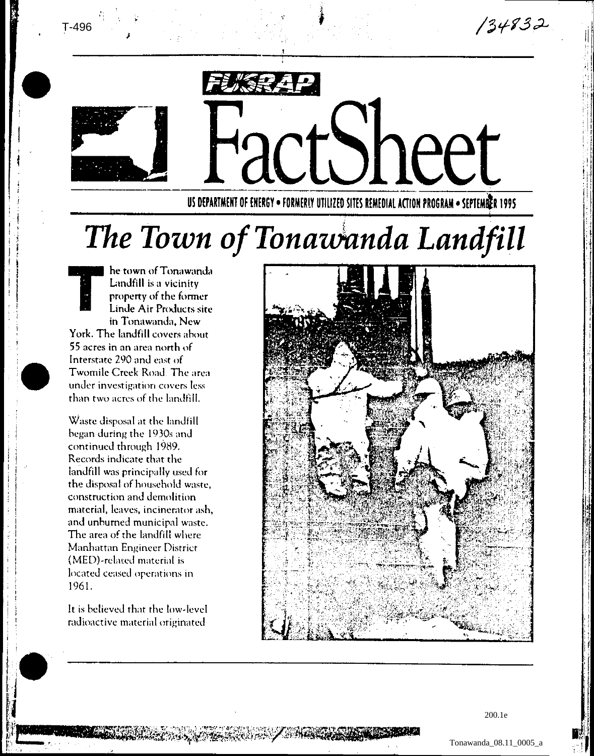$134832$ 



T-496

## neer

US DEPARTMENT OF ENERGY . FORMERLY UTILIZED SITES REMEDIAL ACTION PROGRAM . SEPTEMER 1995

## The Town of Tonawanda Landfill

he town of Tonawanda Landfill is a vicinity property of the former Linde Air Products site in Tonawanda, New York. The landfill covers about 55 acres in an area north of Interstate 290 and east of Twomile Creek Road. The area under investigation covers less than two acres of the landfill.

Waste disposal at the landfill began during the 1930s and continued through 1989. Records indicate that the landfill was principally used for the disposal of household waste, construction and demolition material, leaves, incinerator ash, and unburned municipal waste. The area of the landfill where Manhattan Engineer District (MED)-related material is located ceased operations in 1961.

It is believed that the low-level radioactive material originated

DE SAN DE ESTRE DE LA CARDIA DE LA CARDIA DE LA CARDIA DE LA CARDIA DE LA CARDIA DE LA CARDIA DE LA CARDIA DE



200.1e